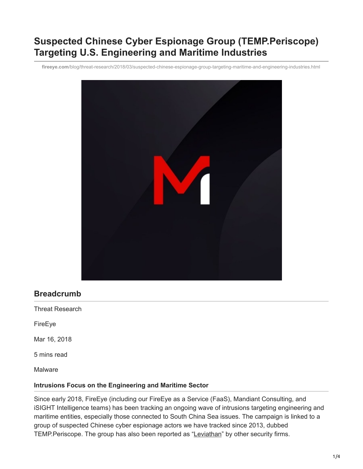# **Suspected Chinese Cyber Espionage Group (TEMP.Periscope) Targeting U.S. Engineering and Maritime Industries**

**fireeye.com**[/blog/threat-research/2018/03/suspected-chinese-espionage-group-targeting-maritime-and-engineering-industries.html](https://www.fireeye.com/blog/threat-research/2018/03/suspected-chinese-espionage-group-targeting-maritime-and-engineering-industries.html)



## **Breadcrumb**

Threat Research

FireEye

Mar 16, 2018

5 mins read

Malware

#### **Intrusions Focus on the Engineering and Maritime Sector**

Since early 2018, FireEye (including our FireEye as a Service (FaaS), Mandiant Consulting, and iSIGHT Intelligence teams) has been tracking an ongoing wave of intrusions targeting engineering and maritime entities, especially those connected to South China Sea issues. The campaign is linked to a group of suspected Chinese cyber espionage actors we have tracked since 2013, dubbed TEMP.Periscope. The group has also been reported as "[Leviathan"](https://www.proofpoint.com/us/threat-insight/post/leviathan-espionage-actor-spearphishes-maritime-and-defense-targets) by other security firms.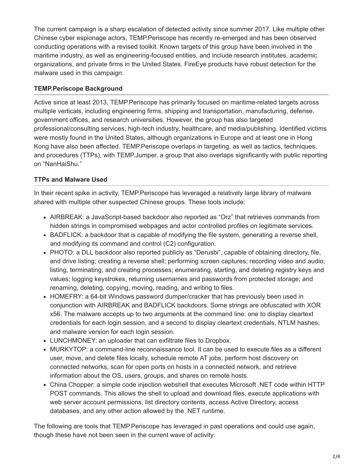The current campaign is a sharp escalation of detected activity since summer 2017. Like multiple other Chinese cyber espionage actors, TEMP.Periscope has recently re-emerged and has been observed conducting operations with a revised toolkit. Known targets of this group have been involved in the maritime industry, as well as engineering-focused entities, and include research institutes, academic organizations, and private firms in the United States. FireEye products have robust detection for the malware used in this campaign.

## **TEMP.Periscope Background**

Active since at least 2013, TEMP.Periscope has primarily focused on maritime-related targets across multiple verticals, including engineering firms, shipping and transportation, manufacturing, defense, government offices, and research universities. However, the group has also targeted professional/consulting services, high-tech industry, healthcare, and media/publishing. Identified victims were mostly found in the United States, although organizations in Europe and at least one in Hong Kong have also been affected. TEMP.Periscope overlaps in targeting, as well as tactics, techniques, and procedures (TTPs), with TEMP.Jumper, a group that also overlaps significantly with public reporting on "NanHaiShu."

## **TTPs and Malware Used**

In their recent spike in activity, TEMP.Periscope has leveraged a relatively large library of malware shared with multiple other suspected Chinese groups. These tools include:

- AIRBREAK: a JavaScript-based backdoor also reported as "Orz" that retrieves commands from hidden strings in compromised webpages and actor controlled profiles on legitimate services.
- BADFLICK: a backdoor that is capable of modifying the file system, generating a reverse shell, and modifying its command and control (C2) configuration.
- PHOTO: a DLL backdoor also reported publicly as "Derusbi", capable of obtaining directory, file, and drive listing; creating a reverse shell; performing screen captures; recording video and audio; listing, terminating, and creating processes; enumerating, starting, and deleting registry keys and values; logging keystrokes, returning usernames and passwords from protected storage; and renaming, deleting, copying, moving, reading, and writing to files.
- HOMEFRY: a 64-bit Windows password dumper/cracker that has previously been used in conjunction with AIRBREAK and BADFLICK backdoors. Some strings are obfuscated with XOR x56. The malware accepts up to two arguments at the command line: one to display cleartext credentials for each login session, and a second to display cleartext credentials, NTLM hashes, and malware version for each login session.
- LUNCHMONEY: an uploader that can exfiltrate files to Dropbox.
- MURKYTOP: a command-line reconnaissance tool. It can be used to execute files as a different user, move, and delete files locally, schedule remote AT jobs, perform host discovery on connected networks, scan for open ports on hosts in a connected network, and retrieve information about the OS, users, groups, and shares on remote hosts.
- China Chopper: a simple code injection webshell that executes Microsoft .NET code within HTTP POST commands. This allows the shell to upload and download files, execute applications with web server account permissions, list directory contents, access Active Directory, access databases, and any other action allowed by the .NET runtime.

The following are tools that TEMP.Periscope has leveraged in past operations and could use again, though these have not been seen in the current wave of activity: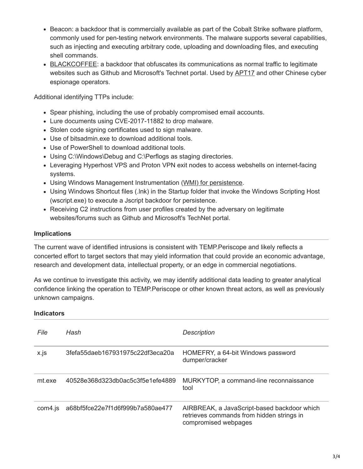- Beacon: a backdoor that is commercially available as part of the Cobalt Strike software platform, commonly used for pen-testing network environments. The malware supports several capabilities, such as injecting and executing arbitrary code, uploading and downloading files, and executing shell commands.
- [BLACKCOFFEE:](https://www.fireeye.com/blog/threat-research/2015/05/hiding_in_plain_sigh.html) a backdoor that obfuscates its communications as normal traffic to legitimate websites such as Github and Microsoft's Technet portal. Used by **APT17** and other Chinese cyber espionage operators.

Additional identifying TTPs include:

- Spear phishing, including the use of probably compromised email accounts.
- Lure documents using CVE-2017-11882 to drop malware.
- Stolen code signing certificates used to sign malware.
- Use of bitsadmin.exe to download additional tools.
- Use of PowerShell to download additional tools.
- Using C:\Windows\Debug and C:\Perflogs as staging directories.
- Leveraging Hyperhost VPS and Proton VPN exit nodes to access webshells on internet-facing systems.
- Using Windows Management Instrumentation [\(WMI\) for persistence.](https://www.fireeye.com/content/dam/fireeye-www/global/en/current-threats/pdfs/wp-windows-management-instrumentation.pdf)
- Using Windows Shortcut files (.lnk) in the Startup folder that invoke the Windows Scripting Host (wscript.exe) to execute a Jscript backdoor for persistence.
- Receiving C2 instructions from user profiles created by the adversary on legitimate websites/forums such as Github and Microsoft's TechNet portal.

## **Implications**

The current wave of identified intrusions is consistent with TEMP.Periscope and likely reflects a concerted effort to target sectors that may yield information that could provide an economic advantage, research and development data, intellectual property, or an edge in commercial negotiations.

As we continue to investigate this activity, we may identify additional data leading to greater analytical confidence linking the operation to TEMP.Periscope or other known threat actors, as well as previously unknown campaigns.

#### **Indicators**

| File    | Hash                             | <b>Description</b>                                                                                               |
|---------|----------------------------------|------------------------------------------------------------------------------------------------------------------|
| x.js    | 3fefa55daeb167931975c22df3eca20a | HOMEFRY, a 64-bit Windows password<br>dumper/cracker                                                             |
| mt.exe  | 40528e368d323db0ac5c3f5e1efe4889 | MURKYTOP, a command-line reconnaissance<br>tool                                                                  |
| com4.is | a68bf5fce22e7f1d6f999b7a580ae477 | AIRBREAK, a JavaScript-based backdoor which<br>retrieves commands from hidden strings in<br>compromised webpages |